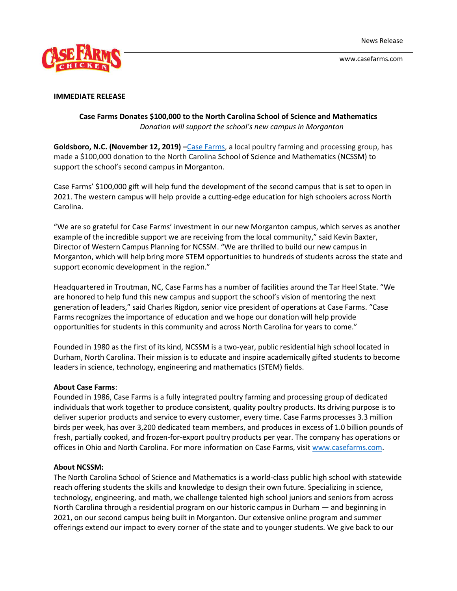

www.casefarms.com



## **IMMEDIATE RELEASE**

## **Case Farms Donates \$100,000 to the North Carolina School of Science and Mathematics**  *Donation will support the school's new campus in Morganton*

**Goldsboro, N.C. (November 12, 2019) –**[Case Farms,](https://www.casefarms.com/) a local poultry farming and processing group, has made a \$100,000 donation to the North Carolina School of Science and Mathematics (NCSSM) to support the school's second campus in Morganton.

Case Farms' \$100,000 gift will help fund the development of the second campus that is set to open in 2021. The western campus will help provide a cutting-edge education for high schoolers across North Carolina.

"We are so grateful for Case Farms' investment in our new Morganton campus, which serves as another example of the incredible support we are receiving from the local community," said Kevin Baxter, Director of Western Campus Planning for NCSSM. "We are thrilled to build our new campus in Morganton, which will help bring more STEM opportunities to hundreds of students across the state and support economic development in the region."

Headquartered in Troutman, NC, Case Farms has a number of facilities around the Tar Heel State. "We are honored to help fund this new campus and support the school's vision of mentoring the next generation of leaders," said Charles Rigdon, senior vice president of operations at Case Farms. "Case Farms recognizes the importance of education and we hope our donation will help provide opportunities for students in this community and across North Carolina for years to come."

Founded in 1980 as the first of its kind, NCSSM is a two-year, public residential high school located in Durham, North Carolina. Their mission is to educate and inspire academically gifted students to become leaders in science, technology, engineering and mathematics (STEM) fields.

## **About Case Farms**:

Founded in 1986, Case Farms is a fully integrated poultry farming and processing group of dedicated individuals that work together to produce consistent, quality poultry products. Its driving purpose is to deliver superior products and service to every customer, every time. Case Farms processes 3.3 million birds per week, has over 3,200 dedicated team members, and produces in excess of 1.0 billion pounds of fresh, partially cooked, and frozen-for-export poultry products per year. The company has operations or offices in Ohio and North Carolina. For more information on Case Farms, visit [www.casefarms.com.](http://www.casefarms.com/)

## **About NCSSM:**

The North Carolina School of Science and Mathematics is a world-class public high school with statewide reach offering students the skills and knowledge to design their own future. Specializing in science, technology, engineering, and math, we challenge talented high school juniors and seniors from across North Carolina through a residential program on our historic campus in Durham — and beginning in 2021, on our second campus being built in Morganton. Our extensive online program and summer offerings extend our impact to every corner of the state and to younger students. We give back to our